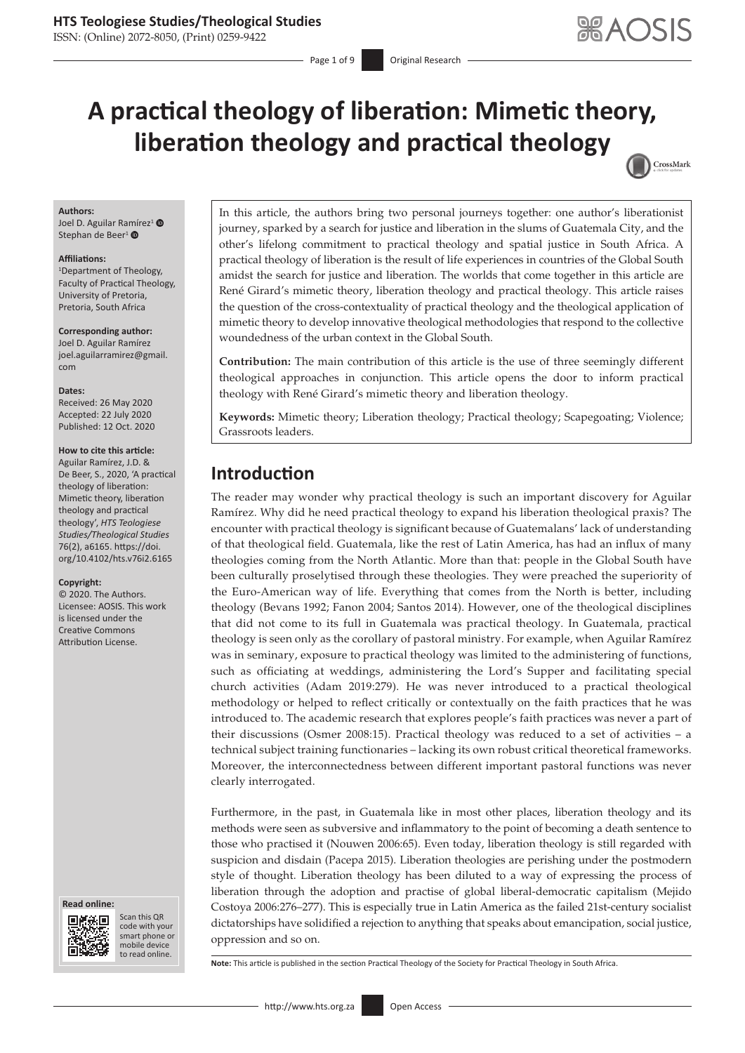### **HTS Teologiese Studies/Theological Studies**

ISSN: (Online) 2072-8050, (Print) 0259-9422

# **A practical theology of liberation: Mimetic theory, liberation theology and practical theology** CrossMark

#### **Authors:**

Joel D. Aguilar Ra[mír](https://orcid.org/0000-0002-8614-099X)ez<sup>1</sup> Stephan de Beer<sup>1</sup>

#### **Affiliations:**

1 Department of Theology, Faculty of Practical Theology, University of Pretoria, Pretoria, South Africa

**Corresponding author:** Joel D. Aguilar Ramírez [joel.aguilarramirez@gmail.](mailto:joel.aguilarramirez@gmail.com) [com](mailto:joel.aguilarramirez@gmail.com)

#### **Dates:**

Received: 26 May 2020 Accepted: 22 July 2020 Published: 12 Oct. 2020

#### **How to cite this article:**

Aguilar Ramírez, J.D. & De Beer, S., 2020, 'A practical theology of liberation: Mimetic theory, liberation theology and practical theology', *HTS Teologiese Studies/Theological Studies*  76(2), a6165. [https://doi.](https://doi.org/10.4102/hts.v76i2.6165) [org/10.4102/hts.v76i2.6165](https://doi.org/10.4102/hts.v76i2.6165)

#### **Copyright:**

© 2020. The Authors. Licensee: AOSIS. This work is licensed under the Creative Commons Attribution License.





Scan this QR code with your Scan this QR<br>code with your<br>smart phone or<br>mobile device mobile device to read online. to read online.

In this article, the authors bring two personal journeys together: one author's liberationist journey, sparked by a search for justice and liberation in the slums of Guatemala City, and the other's lifelong commitment to practical theology and spatial justice in South Africa. A practical theology of liberation is the result of life experiences in countries of the Global South amidst the search for justice and liberation. The worlds that come together in this article are René Girard's mimetic theory, liberation theology and practical theology. This article raises the question of the cross-contextuality of practical theology and the theological application of mimetic theory to develop innovative theological methodologies that respond to the collective woundedness of the urban context in the Global South.

**Contribution:** The main contribution of this article is the use of three seemingly different theological approaches in conjunction. This article opens the door to inform practical theology with René Girard's mimetic theory and liberation theology.

**Keywords:** Mimetic theory; Liberation theology; Practical theology; Scapegoating; Violence; Grassroots leaders.

## **Introduction**

The reader may wonder why practical theology is such an important discovery for Aguilar Ramírez. Why did he need practical theology to expand his liberation theological praxis? The encounter with practical theology is significant because of Guatemalans' lack of understanding of that theological field. Guatemala, like the rest of Latin America, has had an influx of many theologies coming from the North Atlantic. More than that: people in the Global South have been culturally proselytised through these theologies. They were preached the superiority of the Euro-American way of life. Everything that comes from the North is better, including theology (Bevans 1992; Fanon 2004; Santos 2014). However, one of the theological disciplines that did not come to its full in Guatemala was practical theology. In Guatemala, practical theology is seen only as the corollary of pastoral ministry. For example, when Aguilar Ramírez was in seminary, exposure to practical theology was limited to the administering of functions, such as officiating at weddings, administering the Lord's Supper and facilitating special church activities (Adam 2019:279). He was never introduced to a practical theological methodology or helped to reflect critically or contextually on the faith practices that he was introduced to. The academic research that explores people's faith practices was never a part of their discussions (Osmer 2008:15). Practical theology was reduced to a set of activities – a technical subject training functionaries – lacking its own robust critical theoretical frameworks. Moreover, the interconnectedness between different important pastoral functions was never clearly interrogated.

Furthermore, in the past, in Guatemala like in most other places, liberation theology and its methods were seen as subversive and inflammatory to the point of becoming a death sentence to those who practised it (Nouwen 2006:65). Even today, liberation theology is still regarded with suspicion and disdain (Pacepa 2015). Liberation theologies are perishing under the postmodern style of thought. Liberation theology has been diluted to a way of expressing the process of liberation through the adoption and practise of global liberal-democratic capitalism (Mejido Costoya 2006:276–277). This is especially true in Latin America as the failed 21st-century socialist dictatorships have solidified a rejection to anything that speaks about emancipation, social justice, oppression and so on.

**Note:** This article is published in the section Practical Theology of the Society for Practical Theology in South Africa.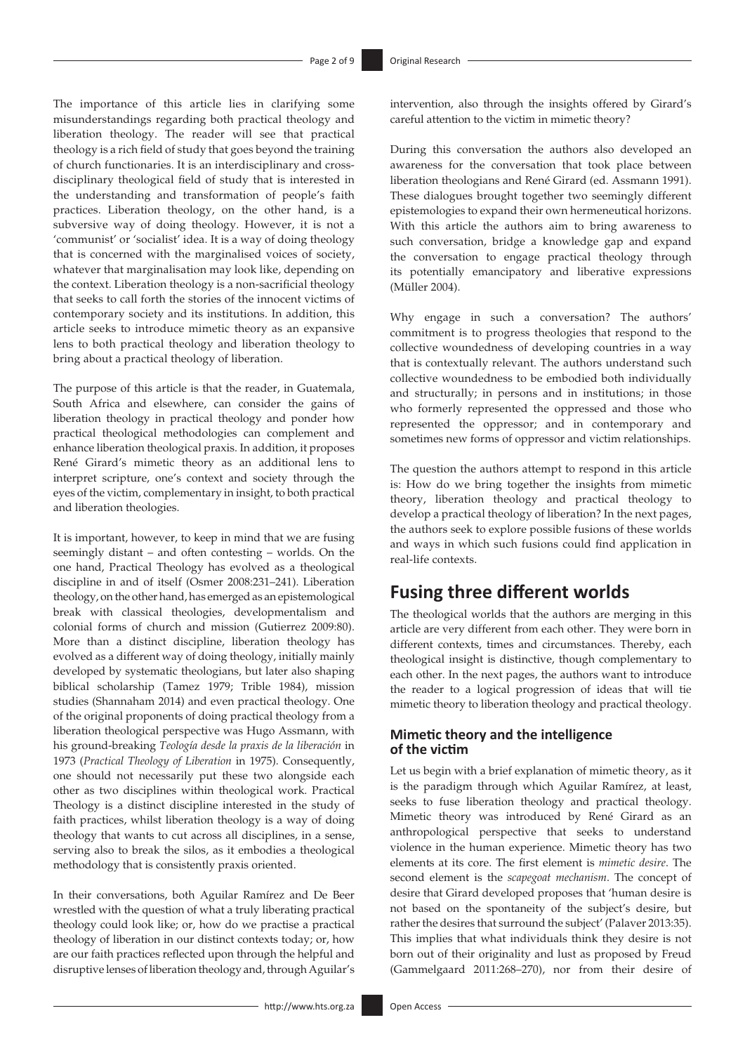The importance of this article lies in clarifying some misunderstandings regarding both practical theology and liberation theology. The reader will see that practical theology is a rich field of study that goes beyond the training of church functionaries. It is an interdisciplinary and crossdisciplinary theological field of study that is interested in the understanding and transformation of people's faith practices. Liberation theology, on the other hand, is a subversive way of doing theology. However, it is not a 'communist' or 'socialist' idea. It is a way of doing theology that is concerned with the marginalised voices of society, whatever that marginalisation may look like, depending on the context. Liberation theology is a non-sacrificial theology that seeks to call forth the stories of the innocent victims of contemporary society and its institutions. In addition, this article seeks to introduce mimetic theory as an expansive lens to both practical theology and liberation theology to bring about a practical theology of liberation.

The purpose of this article is that the reader, in Guatemala, South Africa and elsewhere, can consider the gains of liberation theology in practical theology and ponder how practical theological methodologies can complement and enhance liberation theological praxis. In addition, it proposes René Girard's mimetic theory as an additional lens to interpret scripture, one's context and society through the eyes of the victim, complementary in insight, to both practical and liberation theologies.

It is important, however, to keep in mind that we are fusing seemingly distant – and often contesting – worlds. On the one hand, Practical Theology has evolved as a theological discipline in and of itself (Osmer 2008:231–241). Liberation theology, on the other hand, has emerged as an epistemological break with classical theologies, developmentalism and colonial forms of church and mission (Gutierrez 2009:80). More than a distinct discipline, liberation theology has evolved as a different way of doing theology, initially mainly developed by systematic theologians, but later also shaping biblical scholarship (Tamez 1979; Trible 1984), mission studies (Shannaham 2014) and even practical theology. One of the original proponents of doing practical theology from a liberation theological perspective was Hugo Assmann, with his ground-breaking *Teología desde la praxis de la liberación* in 1973 (*Practical Theology of Liberation* in 1975). Consequently, one should not necessarily put these two alongside each other as two disciplines within theological work. Practical Theology is a distinct discipline interested in the study of faith practices, whilst liberation theology is a way of doing theology that wants to cut across all disciplines, in a sense, serving also to break the silos, as it embodies a theological methodology that is consistently praxis oriented.

In their conversations, both Aguilar Ramírez and De Beer wrestled with the question of what a truly liberating practical theology could look like; or, how do we practise a practical theology of liberation in our distinct contexts today; or, how are our faith practices reflected upon through the helpful and disruptive lenses of liberation theology and, through Aguilar's

intervention, also through the insights offered by Girard's careful attention to the victim in mimetic theory?

During this conversation the authors also developed an awareness for the conversation that took place between liberation theologians and René Girard (ed. Assmann 1991). These dialogues brought together two seemingly different epistemologies to expand their own hermeneutical horizons. With this article the authors aim to bring awareness to such conversation, bridge a knowledge gap and expand the conversation to engage practical theology through its potentially emancipatory and liberative expressions (Müller 2004).

Why engage in such a conversation? The authors' commitment is to progress theologies that respond to the collective woundedness of developing countries in a way that is contextually relevant. The authors understand such collective woundedness to be embodied both individually and structurally; in persons and in institutions; in those who formerly represented the oppressed and those who represented the oppressor; and in contemporary and sometimes new forms of oppressor and victim relationships.

The question the authors attempt to respond in this article is: How do we bring together the insights from mimetic theory, liberation theology and practical theology to develop a practical theology of liberation? In the next pages, the authors seek to explore possible fusions of these worlds and ways in which such fusions could find application in real-life contexts.

## **Fusing three different worlds**

The theological worlds that the authors are merging in this article are very different from each other. They were born in different contexts, times and circumstances. Thereby, each theological insight is distinctive, though complementary to each other. In the next pages, the authors want to introduce the reader to a logical progression of ideas that will tie mimetic theory to liberation theology and practical theology.

### **Mimetic theory and the intelligence of the victim**

Let us begin with a brief explanation of mimetic theory, as it is the paradigm through which Aguilar Ramírez, at least, seeks to fuse liberation theology and practical theology. Mimetic theory was introduced by René Girard as an anthropological perspective that seeks to understand violence in the human experience. Mimetic theory has two elements at its core. The first element is *mimetic desire*. The second element is the *scapegoat mechanism*. The concept of desire that Girard developed proposes that 'human desire is not based on the spontaneity of the subject's desire, but rather the desires that surround the subject' (Palaver 2013:35). This implies that what individuals think they desire is not born out of their originality and lust as proposed by Freud (Gammelgaard 2011:268–270), nor from their desire of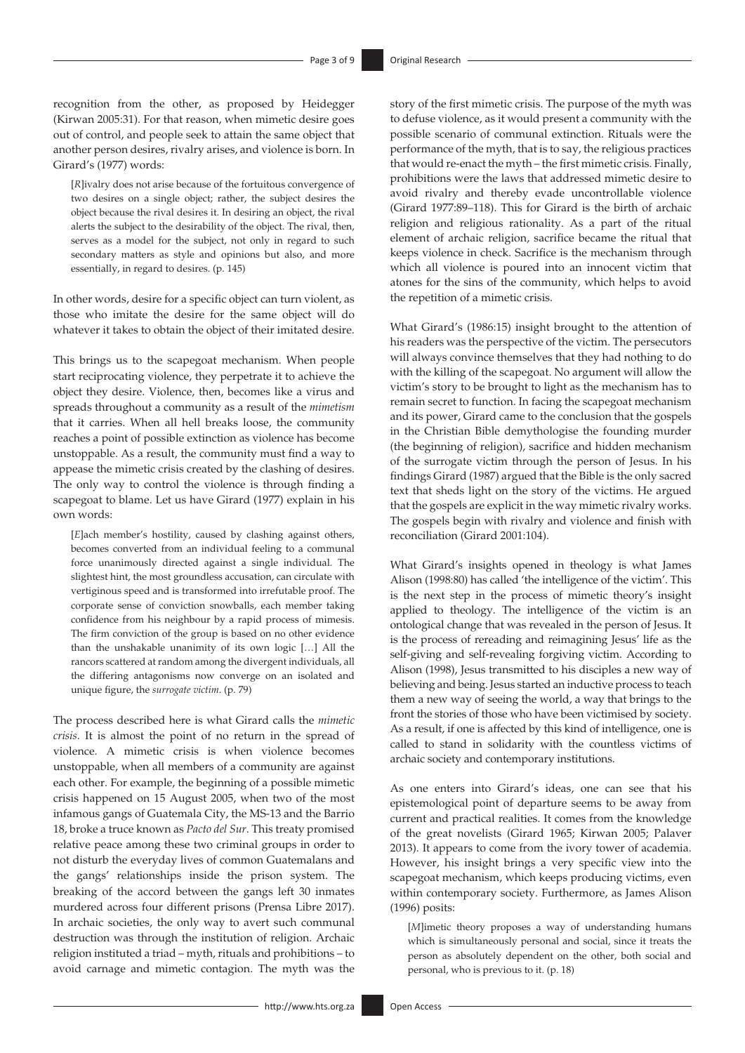recognition from the other, as proposed by Heidegger (Kirwan 2005:31). For that reason, when mimetic desire goes out of control, and people seek to attain the same object that another person desires, rivalry arises, and violence is born. In Girard's (1977) words:

[*R*]ivalry does not arise because of the fortuitous convergence of two desires on a single object; rather, the subject desires the object because the rival desires it. In desiring an object, the rival alerts the subject to the desirability of the object. The rival, then, serves as a model for the subject, not only in regard to such secondary matters as style and opinions but also, and more essentially, in regard to desires. (p. 145)

In other words, desire for a specific object can turn violent, as those who imitate the desire for the same object will do whatever it takes to obtain the object of their imitated desire.

This brings us to the scapegoat mechanism. When people start reciprocating violence, they perpetrate it to achieve the object they desire. Violence, then, becomes like a virus and spreads throughout a community as a result of the *mimetism* that it carries. When all hell breaks loose, the community reaches a point of possible extinction as violence has become unstoppable. As a result, the community must find a way to appease the mimetic crisis created by the clashing of desires. The only way to control the violence is through finding a scapegoat to blame. Let us have Girard (1977) explain in his own words:

[*E*]ach member's hostility, caused by clashing against others, becomes converted from an individual feeling to a communal force unanimously directed against a single individual. The slightest hint, the most groundless accusation, can circulate with vertiginous speed and is transformed into irrefutable proof. The corporate sense of conviction snowballs, each member taking confidence from his neighbour by a rapid process of mimesis. The firm conviction of the group is based on no other evidence than the unshakable unanimity of its own logic […] All the rancors scattered at random among the divergent individuals, all the differing antagonisms now converge on an isolated and unique figure, the *surrogate victim*. (p. 79)

The process described here is what Girard calls the *mimetic crisis*. It is almost the point of no return in the spread of violence. A mimetic crisis is when violence becomes unstoppable, when all members of a community are against each other. For example, the beginning of a possible mimetic crisis happened on 15 August 2005, when two of the most infamous gangs of Guatemala City, the MS-13 and the Barrio 18, broke a truce known as *Pacto del Sur*. This treaty promised relative peace among these two criminal groups in order to not disturb the everyday lives of common Guatemalans and the gangs' relationships inside the prison system. The breaking of the accord between the gangs left 30 inmates murdered across four different prisons (Prensa Libre 2017). In archaic societies, the only way to avert such communal destruction was through the institution of religion. Archaic religion instituted a triad – myth, rituals and prohibitions – to avoid carnage and mimetic contagion. The myth was the story of the first mimetic crisis. The purpose of the myth was to defuse violence, as it would present a community with the possible scenario of communal extinction. Rituals were the performance of the myth, that is to say, the religious practices that would re-enact the myth – the first mimetic crisis. Finally, prohibitions were the laws that addressed mimetic desire to avoid rivalry and thereby evade uncontrollable violence (Girard 1977:89–118). This for Girard is the birth of archaic religion and religious rationality. As a part of the ritual element of archaic religion, sacrifice became the ritual that keeps violence in check. Sacrifice is the mechanism through which all violence is poured into an innocent victim that atones for the sins of the community, which helps to avoid the repetition of a mimetic crisis.

What Girard's (1986:15) insight brought to the attention of his readers was the perspective of the victim. The persecutors will always convince themselves that they had nothing to do with the killing of the scapegoat. No argument will allow the victim's story to be brought to light as the mechanism has to remain secret to function. In facing the scapegoat mechanism and its power, Girard came to the conclusion that the gospels in the Christian Bible demythologise the founding murder (the beginning of religion), sacrifice and hidden mechanism of the surrogate victim through the person of Jesus. In his findings Girard (1987) argued that the Bible is the only sacred text that sheds light on the story of the victims. He argued that the gospels are explicit in the way mimetic rivalry works. The gospels begin with rivalry and violence and finish with reconciliation (Girard 2001:104).

What Girard's insights opened in theology is what James Alison (1998:80) has called 'the intelligence of the victim'. This is the next step in the process of mimetic theory's insight applied to theology. The intelligence of the victim is an ontological change that was revealed in the person of Jesus. It is the process of rereading and reimagining Jesus' life as the self-giving and self-revealing forgiving victim. According to Alison (1998), Jesus transmitted to his disciples a new way of believing and being. Jesus started an inductive process to teach them a new way of seeing the world, a way that brings to the front the stories of those who have been victimised by society. As a result, if one is affected by this kind of intelligence, one is called to stand in solidarity with the countless victims of archaic society and contemporary institutions.

As one enters into Girard's ideas, one can see that his epistemological point of departure seems to be away from current and practical realities. It comes from the knowledge of the great novelists (Girard 1965; Kirwan 2005; Palaver 2013). It appears to come from the ivory tower of academia. However, his insight brings a very specific view into the scapegoat mechanism, which keeps producing victims, even within contemporary society. Furthermore, as James Alison (1996) posits:

[*M*]imetic theory proposes a way of understanding humans which is simultaneously personal and social, since it treats the person as absolutely dependent on the other, both social and personal, who is previous to it. (p. 18)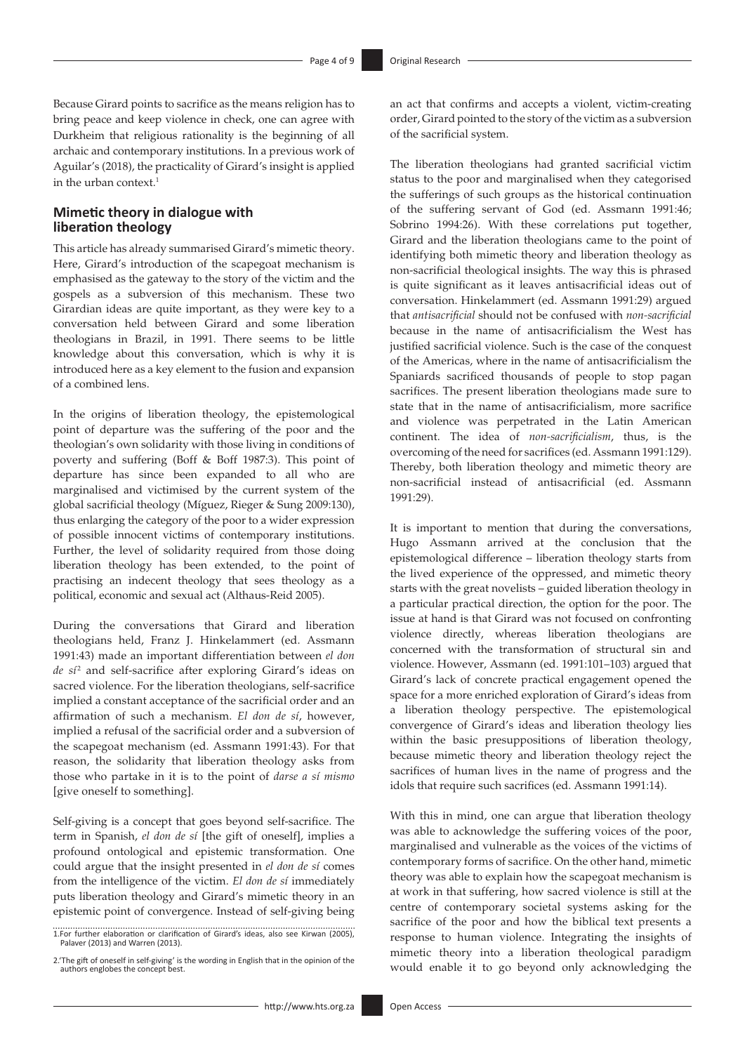Because Girard points to sacrifice as the means religion has to bring peace and keep violence in check, one can agree with Durkheim that religious rationality is the beginning of all archaic and contemporary institutions. In a previous work of Aguilar's (2018), the practicality of Girard's insight is applied in the urban context. $1$ 

#### **Mimetic theory in dialogue with liberation theology**

This article has already summarised Girard's mimetic theory. Here, Girard's introduction of the scapegoat mechanism is emphasised as the gateway to the story of the victim and the gospels as a subversion of this mechanism. These two Girardian ideas are quite important, as they were key to a conversation held between Girard and some liberation theologians in Brazil, in 1991. There seems to be little knowledge about this conversation, which is why it is introduced here as a key element to the fusion and expansion of a combined lens.

In the origins of liberation theology, the epistemological point of departure was the suffering of the poor and the theologian's own solidarity with those living in conditions of poverty and suffering (Boff & Boff 1987:3). This point of departure has since been expanded to all who are marginalised and victimised by the current system of the global sacrificial theology (Míguez, Rieger & Sung 2009:130), thus enlarging the category of the poor to a wider expression of possible innocent victims of contemporary institutions. Further, the level of solidarity required from those doing liberation theology has been extended, to the point of practising an indecent theology that sees theology as a political, economic and sexual act (Althaus-Reid 2005).

During the conversations that Girard and liberation theologians held, Franz J. Hinkelammert (ed. Assmann 1991:43) made an important differentiation between *el don de sí* <sup>2</sup> and self-sacrifice after exploring Girard's ideas on sacred violence. For the liberation theologians, self-sacrifice implied a constant acceptance of the sacrificial order and an affirmation of such a mechanism. *El don de sí*, however, implied a refusal of the sacrificial order and a subversion of the scapegoat mechanism (ed. Assmann 1991:43). For that reason, the solidarity that liberation theology asks from those who partake in it is to the point of *darse a sí mismo*  [give oneself to something].

Self-giving is a concept that goes beyond self-sacrifice. The term in Spanish, *el don de sí* [the gift of oneself], implies a profound ontological and epistemic transformation. One could argue that the insight presented in *el don de sí* comes from the intelligence of the victim. *El don de sí* immediately puts liberation theology and Girard's mimetic theory in an epistemic point of convergence. Instead of self-giving being an act that confirms and accepts a violent, victim-creating order, Girard pointed to the story of the victim as a subversion of the sacrificial system.

The liberation theologians had granted sacrificial victim status to the poor and marginalised when they categorised the sufferings of such groups as the historical continuation of the suffering servant of God (ed. Assmann 1991:46; Sobrino 1994:26). With these correlations put together, Girard and the liberation theologians came to the point of identifying both mimetic theory and liberation theology as non-sacrificial theological insights. The way this is phrased is quite significant as it leaves antisacrificial ideas out of conversation. Hinkelammert (ed. Assmann 1991:29) argued that *antisacrificial* should not be confused with *non-sacrificial* because in the name of antisacrificialism the West has justified sacrificial violence. Such is the case of the conquest of the Americas, where in the name of antisacrificialism the Spaniards sacrificed thousands of people to stop pagan sacrifices. The present liberation theologians made sure to state that in the name of antisacrificialism, more sacrifice and violence was perpetrated in the Latin American continent. The idea of *non-sacrificialism*, thus, is the overcoming of the need for sacrifices (ed. Assmann 1991:129). Thereby, both liberation theology and mimetic theory are non-sacrificial instead of antisacrificial (ed. Assmann 1991:29).

It is important to mention that during the conversations, Hugo Assmann arrived at the conclusion that the epistemological difference – liberation theology starts from the lived experience of the oppressed, and mimetic theory starts with the great novelists – guided liberation theology in a particular practical direction, the option for the poor. The issue at hand is that Girard was not focused on confronting violence directly, whereas liberation theologians are concerned with the transformation of structural sin and violence. However, Assmann (ed. 1991:101–103) argued that Girard's lack of concrete practical engagement opened the space for a more enriched exploration of Girard's ideas from a liberation theology perspective. The epistemological convergence of Girard's ideas and liberation theology lies within the basic presuppositions of liberation theology, because mimetic theory and liberation theology reject the sacrifices of human lives in the name of progress and the idols that require such sacrifices (ed. Assmann 1991:14).

With this in mind, one can argue that liberation theology was able to acknowledge the suffering voices of the poor, marginalised and vulnerable as the voices of the victims of contemporary forms of sacrifice. On the other hand, mimetic theory was able to explain how the scapegoat mechanism is at work in that suffering, how sacred violence is still at the centre of contemporary societal systems asking for the sacrifice of the poor and how the biblical text presents a response to human violence. Integrating the insights of mimetic theory into a liberation theological paradigm would enable it to go beyond only acknowledging the

<sup>1.</sup>For further elaboration or clarification of Girard's ideas, also see Kirwan (2005), Palaver (2013) and Warren (2013).

<sup>2.&#</sup>x27;The gift of oneself in self-giving' is the wording in English that in the opinion of the authors englobes the concept best.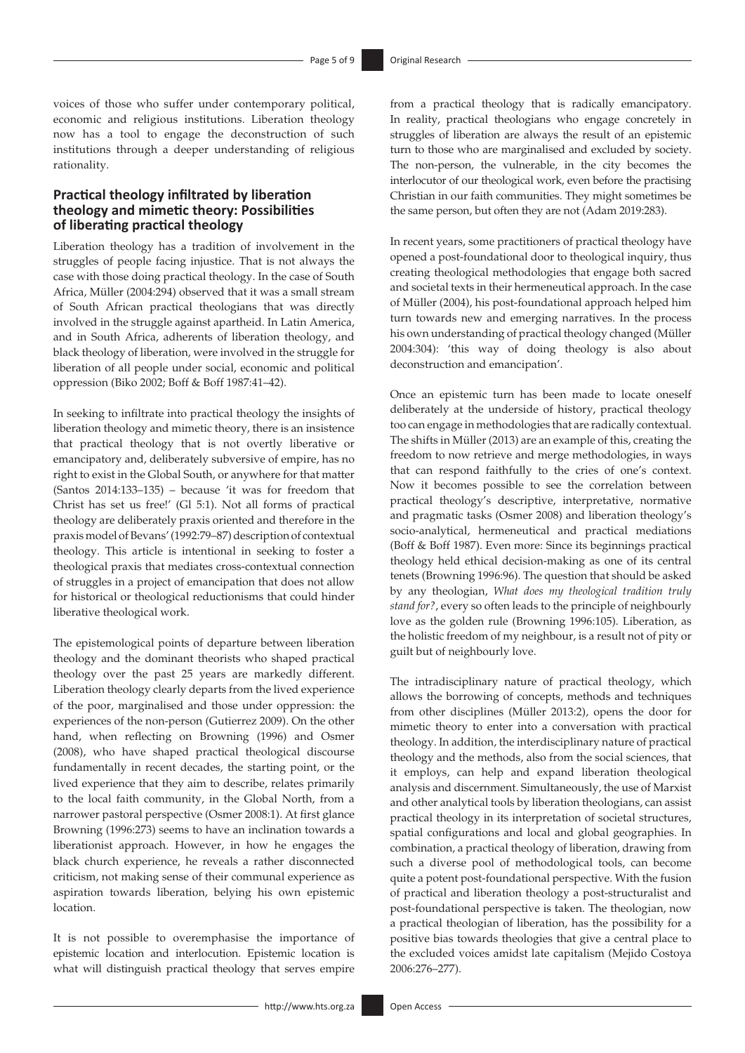voices of those who suffer under contemporary political, economic and religious institutions. Liberation theology now has a tool to engage the deconstruction of such institutions through a deeper understanding of religious rationality.

### **Practical theology infiltrated by liberation theology and mimetic theory: Possibilities of liberating practical theology**

Liberation theology has a tradition of involvement in the struggles of people facing injustice. That is not always the case with those doing practical theology. In the case of South Africa, Müller (2004:294) observed that it was a small stream of South African practical theologians that was directly involved in the struggle against apartheid. In Latin America, and in South Africa, adherents of liberation theology, and black theology of liberation, were involved in the struggle for liberation of all people under social, economic and political oppression (Biko 2002; Boff & Boff 1987:41–42).

In seeking to infiltrate into practical theology the insights of liberation theology and mimetic theory, there is an insistence that practical theology that is not overtly liberative or emancipatory and, deliberately subversive of empire, has no right to exist in the Global South, or anywhere for that matter (Santos 2014:133–135) – because 'it was for freedom that Christ has set us free!' (Gl 5:1). Not all forms of practical theology are deliberately praxis oriented and therefore in the praxis model of Bevans' (1992:79–87) description of contextual theology. This article is intentional in seeking to foster a theological praxis that mediates cross-contextual connection of struggles in a project of emancipation that does not allow for historical or theological reductionisms that could hinder liberative theological work.

The epistemological points of departure between liberation theology and the dominant theorists who shaped practical theology over the past 25 years are markedly different. Liberation theology clearly departs from the lived experience of the poor, marginalised and those under oppression: the experiences of the non-person (Gutierrez 2009). On the other hand, when reflecting on Browning (1996) and Osmer (2008), who have shaped practical theological discourse fundamentally in recent decades, the starting point, or the lived experience that they aim to describe, relates primarily to the local faith community, in the Global North, from a narrower pastoral perspective (Osmer 2008:1). At first glance Browning (1996:273) seems to have an inclination towards a liberationist approach. However, in how he engages the black church experience, he reveals a rather disconnected criticism, not making sense of their communal experience as aspiration towards liberation, belying his own epistemic location.

It is not possible to overemphasise the importance of epistemic location and interlocution. Epistemic location is what will distinguish practical theology that serves empire from a practical theology that is radically emancipatory. In reality, practical theologians who engage concretely in struggles of liberation are always the result of an epistemic turn to those who are marginalised and excluded by society. The non-person, the vulnerable, in the city becomes the interlocutor of our theological work, even before the practising Christian in our faith communities. They might sometimes be the same person, but often they are not (Adam 2019:283).

In recent years, some practitioners of practical theology have opened a post-foundational door to theological inquiry, thus creating theological methodologies that engage both sacred and societal texts in their hermeneutical approach. In the case of Müller (2004), his post-foundational approach helped him turn towards new and emerging narratives. In the process his own understanding of practical theology changed (Müller 2004:304): 'this way of doing theology is also about deconstruction and emancipation'.

Once an epistemic turn has been made to locate oneself deliberately at the underside of history, practical theology too can engage in methodologies that are radically contextual. The shifts in Müller (2013) are an example of this, creating the freedom to now retrieve and merge methodologies, in ways that can respond faithfully to the cries of one's context. Now it becomes possible to see the correlation between practical theology's descriptive, interpretative, normative and pragmatic tasks (Osmer 2008) and liberation theology's socio-analytical, hermeneutical and practical mediations (Boff & Boff 1987). Even more: Since its beginnings practical theology held ethical decision-making as one of its central tenets (Browning 1996:96). The question that should be asked by any theologian, *What does my theological tradition truly stand for?*, every so often leads to the principle of neighbourly love as the golden rule (Browning 1996:105). Liberation, as the holistic freedom of my neighbour, is a result not of pity or guilt but of neighbourly love.

The intradisciplinary nature of practical theology, which allows the borrowing of concepts, methods and techniques from other disciplines (Müller 2013:2), opens the door for mimetic theory to enter into a conversation with practical theology. In addition, the interdisciplinary nature of practical theology and the methods, also from the social sciences, that it employs, can help and expand liberation theological analysis and discernment. Simultaneously, the use of Marxist and other analytical tools by liberation theologians, can assist practical theology in its interpretation of societal structures, spatial configurations and local and global geographies. In combination, a practical theology of liberation, drawing from such a diverse pool of methodological tools, can become quite a potent post-foundational perspective. With the fusion of practical and liberation theology a post-structuralist and post-foundational perspective is taken. The theologian, now a practical theologian of liberation, has the possibility for a positive bias towards theologies that give a central place to the excluded voices amidst late capitalism (Mejido Costoya 2006:276–277).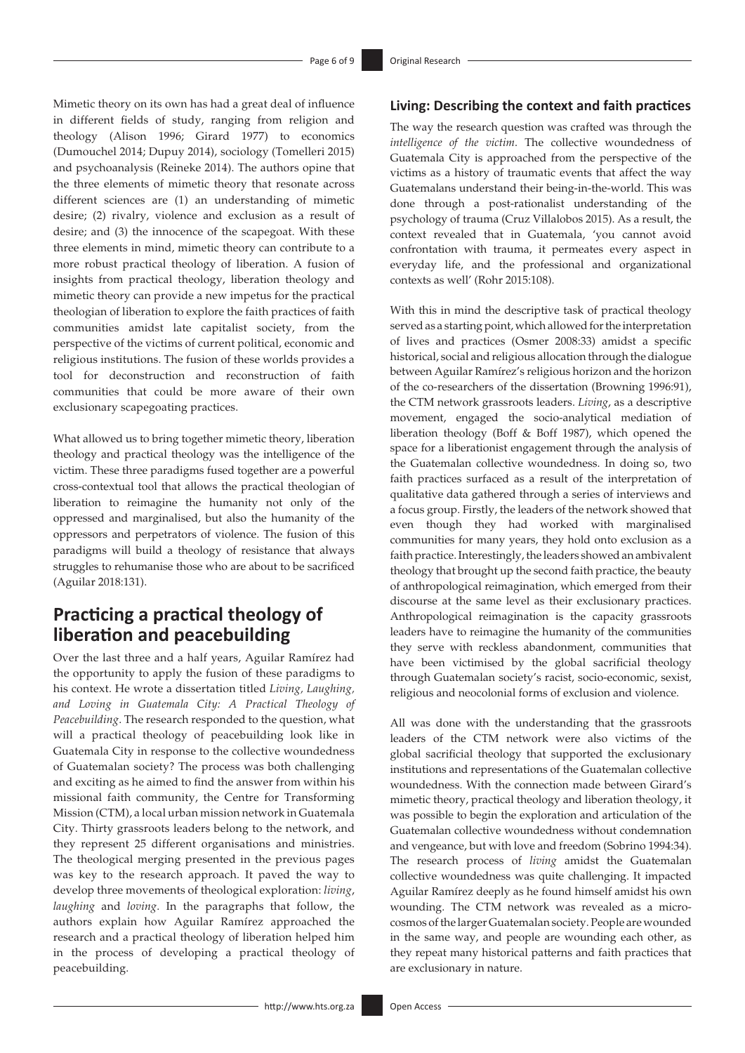Mimetic theory on its own has had a great deal of influence in different fields of study, ranging from religion and theology (Alison 1996; Girard 1977) to economics (Dumouchel 2014; Dupuy 2014), sociology (Tomelleri 2015) and psychoanalysis (Reineke 2014). The authors opine that the three elements of mimetic theory that resonate across different sciences are (1) an understanding of mimetic desire; (2) rivalry, violence and exclusion as a result of desire; and (3) the innocence of the scapegoat. With these three elements in mind, mimetic theory can contribute to a more robust practical theology of liberation. A fusion of insights from practical theology, liberation theology and mimetic theory can provide a new impetus for the practical theologian of liberation to explore the faith practices of faith communities amidst late capitalist society, from the perspective of the victims of current political, economic and religious institutions. The fusion of these worlds provides a tool for deconstruction and reconstruction of faith communities that could be more aware of their own exclusionary scapegoating practices.

What allowed us to bring together mimetic theory, liberation theology and practical theology was the intelligence of the victim. These three paradigms fused together are a powerful cross-contextual tool that allows the practical theologian of liberation to reimagine the humanity not only of the oppressed and marginalised, but also the humanity of the oppressors and perpetrators of violence. The fusion of this paradigms will build a theology of resistance that always struggles to rehumanise those who are about to be sacrificed (Aguilar 2018:131).

## **Practicing a practical theology of liberation and peacebuilding**

Over the last three and a half years, Aguilar Ramírez had the opportunity to apply the fusion of these paradigms to his context. He wrote a dissertation titled *Living, Laughing, and Loving in Guatemala City: A Practical Theology of Peacebuilding*. The research responded to the question, what will a practical theology of peacebuilding look like in Guatemala City in response to the collective woundedness of Guatemalan society? The process was both challenging and exciting as he aimed to find the answer from within his missional faith community, the Centre for Transforming Mission (CTM), a local urban mission network in Guatemala City. Thirty grassroots leaders belong to the network, and they represent 25 different organisations and ministries. The theological merging presented in the previous pages was key to the research approach. It paved the way to develop three movements of theological exploration: *living*, *laughing* and *loving*. In the paragraphs that follow, the authors explain how Aguilar Ramírez approached the research and a practical theology of liberation helped him in the process of developing a practical theology of peacebuilding.

#### **Living: Describing the context and faith practices**

The way the research question was crafted was through the *intelligence of the victim*. The collective woundedness of Guatemala City is approached from the perspective of the victims as a history of traumatic events that affect the way Guatemalans understand their being-in-the-world. This was done through a post-rationalist understanding of the psychology of trauma (Cruz Villalobos 2015). As a result, the context revealed that in Guatemala, 'you cannot avoid confrontation with trauma, it permeates every aspect in everyday life, and the professional and organizational contexts as well' (Rohr 2015:108).

With this in mind the descriptive task of practical theology served as a starting point, which allowed for the interpretation of lives and practices (Osmer 2008:33) amidst a specific historical, social and religious allocation through the dialogue between Aguilar Ramírez's religious horizon and the horizon of the co-researchers of the dissertation (Browning 1996:91), the CTM network grassroots leaders. *Living*, as a descriptive movement, engaged the socio-analytical mediation of liberation theology (Boff & Boff 1987), which opened the space for a liberationist engagement through the analysis of the Guatemalan collective woundedness. In doing so, two faith practices surfaced as a result of the interpretation of qualitative data gathered through a series of interviews and a focus group. Firstly, the leaders of the network showed that even though they had worked with marginalised communities for many years, they hold onto exclusion as a faith practice. Interestingly, the leaders showed an ambivalent theology that brought up the second faith practice, the beauty of anthropological reimagination, which emerged from their discourse at the same level as their exclusionary practices. Anthropological reimagination is the capacity grassroots leaders have to reimagine the humanity of the communities they serve with reckless abandonment, communities that have been victimised by the global sacrificial theology through Guatemalan society's racist, socio-economic, sexist, religious and neocolonial forms of exclusion and violence.

All was done with the understanding that the grassroots leaders of the CTM network were also victims of the global sacrificial theology that supported the exclusionary institutions and representations of the Guatemalan collective woundedness. With the connection made between Girard's mimetic theory, practical theology and liberation theology, it was possible to begin the exploration and articulation of the Guatemalan collective woundedness without condemnation and vengeance, but with love and freedom (Sobrino 1994:34). The research process of *living* amidst the Guatemalan collective woundedness was quite challenging. It impacted Aguilar Ramírez deeply as he found himself amidst his own wounding. The CTM network was revealed as a microcosmos of the larger Guatemalan society. People are wounded in the same way, and people are wounding each other, as they repeat many historical patterns and faith practices that are exclusionary in nature.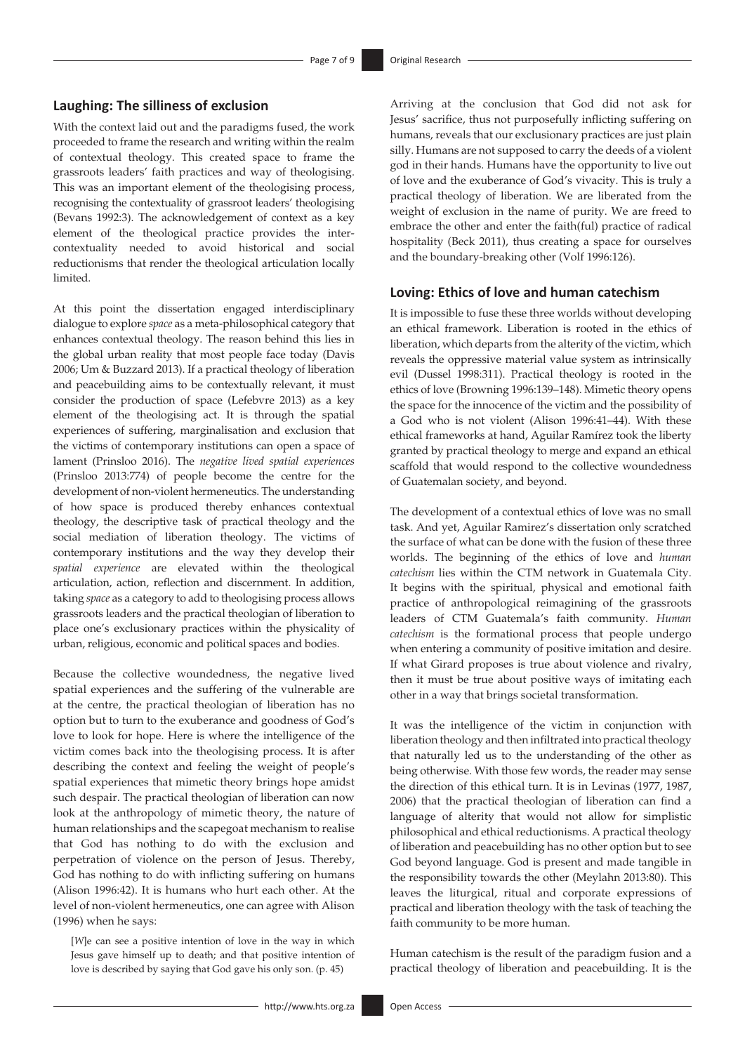### **Laughing: The silliness of exclusion**

With the context laid out and the paradigms fused, the work proceeded to frame the research and writing within the realm of contextual theology. This created space to frame the grassroots leaders' faith practices and way of theologising. This was an important element of the theologising process, recognising the contextuality of grassroot leaders' theologising (Bevans 1992:3). The acknowledgement of context as a key element of the theological practice provides the intercontextuality needed to avoid historical and social reductionisms that render the theological articulation locally limited.

At this point the dissertation engaged interdisciplinary dialogue to explore *space* as a meta-philosophical category that enhances contextual theology. The reason behind this lies in the global urban reality that most people face today (Davis 2006; Um & Buzzard 2013). If a practical theology of liberation and peacebuilding aims to be contextually relevant, it must consider the production of space (Lefebvre 2013) as a key element of the theologising act. It is through the spatial experiences of suffering, marginalisation and exclusion that the victims of contemporary institutions can open a space of lament (Prinsloo 2016). The *negative lived spatial experiences*  (Prinsloo 2013:774) of people become the centre for the development of non-violent hermeneutics. The understanding of how space is produced thereby enhances contextual theology, the descriptive task of practical theology and the social mediation of liberation theology. The victims of contemporary institutions and the way they develop their *spatial experience* are elevated within the theological articulation, action, reflection and discernment. In addition, taking *space* as a category to add to theologising process allows grassroots leaders and the practical theologian of liberation to place one's exclusionary practices within the physicality of urban, religious, economic and political spaces and bodies.

Because the collective woundedness, the negative lived spatial experiences and the suffering of the vulnerable are at the centre, the practical theologian of liberation has no option but to turn to the exuberance and goodness of God's love to look for hope. Here is where the intelligence of the victim comes back into the theologising process. It is after describing the context and feeling the weight of people's spatial experiences that mimetic theory brings hope amidst such despair. The practical theologian of liberation can now look at the anthropology of mimetic theory, the nature of human relationships and the scapegoat mechanism to realise that God has nothing to do with the exclusion and perpetration of violence on the person of Jesus. Thereby, God has nothing to do with inflicting suffering on humans (Alison 1996:42). It is humans who hurt each other. At the level of non-violent hermeneutics, one can agree with Alison (1996) when he says:

[*W*]e can see a positive intention of love in the way in which Jesus gave himself up to death; and that positive intention of love is described by saying that God gave his only son. (p. 45)

Arriving at the conclusion that God did not ask for Jesus' sacrifice, thus not purposefully inflicting suffering on humans, reveals that our exclusionary practices are just plain silly. Humans are not supposed to carry the deeds of a violent god in their hands. Humans have the opportunity to live out of love and the exuberance of God's vivacity. This is truly a practical theology of liberation. We are liberated from the weight of exclusion in the name of purity. We are freed to embrace the other and enter the faith(ful) practice of radical hospitality (Beck 2011), thus creating a space for ourselves and the boundary-breaking other (Volf 1996:126).

#### **Loving: Ethics of love and human catechism**

It is impossible to fuse these three worlds without developing an ethical framework. Liberation is rooted in the ethics of liberation, which departs from the alterity of the victim, which reveals the oppressive material value system as intrinsically evil (Dussel 1998:311). Practical theology is rooted in the ethics of love (Browning 1996:139–148). Mimetic theory opens the space for the innocence of the victim and the possibility of a God who is not violent (Alison 1996:41–44). With these ethical frameworks at hand, Aguilar Ramírez took the liberty granted by practical theology to merge and expand an ethical scaffold that would respond to the collective woundedness of Guatemalan society, and beyond.

The development of a contextual ethics of love was no small task. And yet, Aguilar Ramirez's dissertation only scratched the surface of what can be done with the fusion of these three worlds. The beginning of the ethics of love and *human catechism* lies within the CTM network in Guatemala City. It begins with the spiritual, physical and emotional faith practice of anthropological reimagining of the grassroots leaders of CTM Guatemala's faith community. *Human catechism* is the formational process that people undergo when entering a community of positive imitation and desire. If what Girard proposes is true about violence and rivalry, then it must be true about positive ways of imitating each other in a way that brings societal transformation.

It was the intelligence of the victim in conjunction with liberation theology and then infiltrated into practical theology that naturally led us to the understanding of the other as being otherwise. With those few words, the reader may sense the direction of this ethical turn. It is in Levinas (1977, 1987, 2006) that the practical theologian of liberation can find a language of alterity that would not allow for simplistic philosophical and ethical reductionisms. A practical theology of liberation and peacebuilding has no other option but to see God beyond language. God is present and made tangible in the responsibility towards the other (Meylahn 2013:80). This leaves the liturgical, ritual and corporate expressions of practical and liberation theology with the task of teaching the faith community to be more human.

Human catechism is the result of the paradigm fusion and a practical theology of liberation and peacebuilding. It is the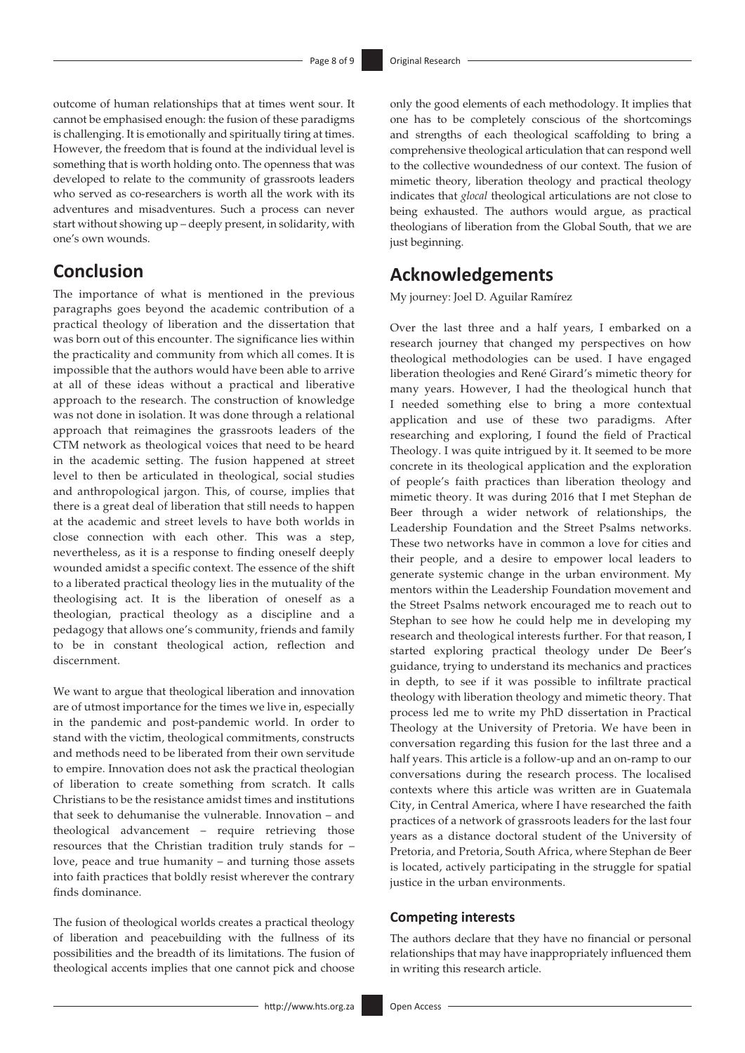outcome of human relationships that at times went sour. It cannot be emphasised enough: the fusion of these paradigms is challenging. It is emotionally and spiritually tiring at times. However, the freedom that is found at the individual level is something that is worth holding onto. The openness that was developed to relate to the community of grassroots leaders who served as co-researchers is worth all the work with its adventures and misadventures. Such a process can never start without showing up – deeply present, in solidarity, with one's own wounds.

## **Conclusion**

The importance of what is mentioned in the previous paragraphs goes beyond the academic contribution of a practical theology of liberation and the dissertation that was born out of this encounter. The significance lies within the practicality and community from which all comes. It is impossible that the authors would have been able to arrive at all of these ideas without a practical and liberative approach to the research. The construction of knowledge was not done in isolation. It was done through a relational approach that reimagines the grassroots leaders of the CTM network as theological voices that need to be heard in the academic setting. The fusion happened at street level to then be articulated in theological, social studies and anthropological jargon. This, of course, implies that there is a great deal of liberation that still needs to happen at the academic and street levels to have both worlds in close connection with each other. This was a step, nevertheless, as it is a response to finding oneself deeply wounded amidst a specific context. The essence of the shift to a liberated practical theology lies in the mutuality of the theologising act. It is the liberation of oneself as a theologian, practical theology as a discipline and a pedagogy that allows one's community, friends and family to be in constant theological action, reflection and discernment.

We want to argue that theological liberation and innovation are of utmost importance for the times we live in, especially in the pandemic and post-pandemic world. In order to stand with the victim, theological commitments, constructs and methods need to be liberated from their own servitude to empire. Innovation does not ask the practical theologian of liberation to create something from scratch. It calls Christians to be the resistance amidst times and institutions that seek to dehumanise the vulnerable. Innovation – and theological advancement – require retrieving those resources that the Christian tradition truly stands for – love, peace and true humanity – and turning those assets into faith practices that boldly resist wherever the contrary finds dominance.

The fusion of theological worlds creates a practical theology of liberation and peacebuilding with the fullness of its possibilities and the breadth of its limitations. The fusion of theological accents implies that one cannot pick and choose

only the good elements of each methodology. It implies that one has to be completely conscious of the shortcomings and strengths of each theological scaffolding to bring a comprehensive theological articulation that can respond well to the collective woundedness of our context. The fusion of mimetic theory, liberation theology and practical theology indicates that *glocal* theological articulations are not close to being exhausted. The authors would argue, as practical theologians of liberation from the Global South, that we are just beginning.

## **Acknowledgements**

My journey: Joel D. Aguilar Ramírez

Over the last three and a half years, I embarked on a research journey that changed my perspectives on how theological methodologies can be used. I have engaged liberation theologies and René Girard's mimetic theory for many years. However, I had the theological hunch that I needed something else to bring a more contextual application and use of these two paradigms. After researching and exploring, I found the field of Practical Theology. I was quite intrigued by it. It seemed to be more concrete in its theological application and the exploration of people's faith practices than liberation theology and mimetic theory. It was during 2016 that I met Stephan de Beer through a wider network of relationships, the Leadership Foundation and the Street Psalms networks. These two networks have in common a love for cities and their people, and a desire to empower local leaders to generate systemic change in the urban environment. My mentors within the Leadership Foundation movement and the Street Psalms network encouraged me to reach out to Stephan to see how he could help me in developing my research and theological interests further. For that reason, I started exploring practical theology under De Beer's guidance, trying to understand its mechanics and practices in depth, to see if it was possible to infiltrate practical theology with liberation theology and mimetic theory. That process led me to write my PhD dissertation in Practical Theology at the University of Pretoria. We have been in conversation regarding this fusion for the last three and a half years. This article is a follow-up and an on-ramp to our conversations during the research process. The localised contexts where this article was written are in Guatemala City, in Central America, where I have researched the faith practices of a network of grassroots leaders for the last four years as a distance doctoral student of the University of Pretoria, and Pretoria, South Africa, where Stephan de Beer is located, actively participating in the struggle for spatial justice in the urban environments.

#### **Competing interests**

The authors declare that they have no financial or personal relationships that may have inappropriately influenced them in writing this research article.